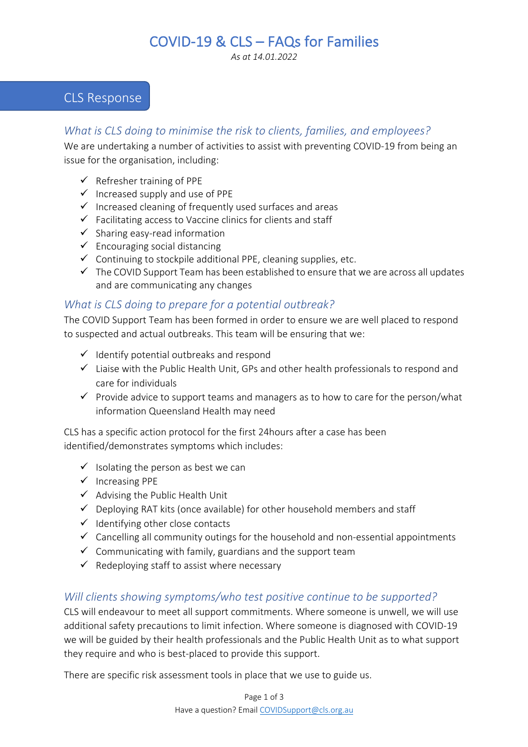# COVID-19 & CLS – FAQs for Families

*As at 14.01.2022*

## CLS Response

## *What is CLS doing to minimise the risk to clients, families, and employees?*

We are undertaking a number of activities to assist with preventing COVID-19 from being an issue for the organisation, including:

- $\checkmark$  Refresher training of PPE
- $\checkmark$  Increased supply and use of PPE
- $\checkmark$  Increased cleaning of frequently used surfaces and areas
- $\checkmark$  Facilitating access to Vaccine clinics for clients and staff
- $\checkmark$  Sharing easy-read information
- $\checkmark$  Encouraging social distancing
- $\checkmark$  Continuing to stockpile additional PPE, cleaning supplies, etc.
- $\checkmark$  The COVID Support Team has been established to ensure that we are across all updates and are communicating any changes

## *What is CLS doing to prepare for a potential outbreak?*

The COVID Support Team has been formed in order to ensure we are well placed to respond to suspected and actual outbreaks. This team will be ensuring that we:

- $\checkmark$  Identify potential outbreaks and respond
- $\checkmark$  Liaise with the Public Health Unit, GPs and other health professionals to respond and care for individuals
- $\checkmark$  Provide advice to support teams and managers as to how to care for the person/what information Queensland Health may need

CLS has a specific action protocol for the first 24hours after a case has been identified/demonstrates symptoms which includes:

- $\checkmark$  Isolating the person as best we can
- $\checkmark$  Increasing PPE
- $\checkmark$  Advising the Public Health Unit
- $\checkmark$  Deploying RAT kits (once available) for other household members and staff
- $\checkmark$  Identifying other close contacts
- $\checkmark$  Cancelling all community outings for the household and non-essential appointments
- $\checkmark$  Communicating with family, guardians and the support team
- $\checkmark$  Redeploying staff to assist where necessary

## *Will clients showing symptoms/who test positive continue to be supported?*

CLS will endeavour to meet all support commitments. Where someone is unwell, we will use additional safety precautions to limit infection. Where someone is diagnosed with COVID-19 we will be guided by their health professionals and the Public Health Unit as to what support they require and who is best-placed to provide this support.

There are specific risk assessment tools in place that we use to guide us.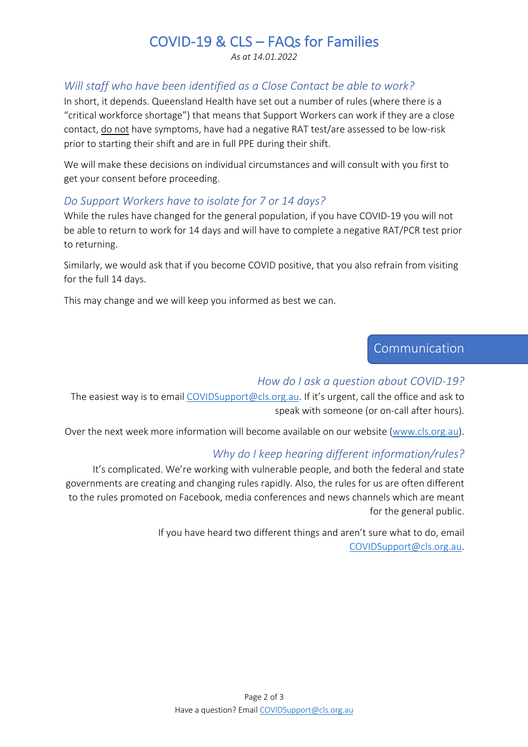# COVID-19 & CLS – FAQs for Families

*As at 14.01.2022*

## *Will staff who have been identified as a Close Contact be able to work?*

In short, it depends. Queensland Health have set out a number of rules (where there is a "critical workforce shortage") that means that Support Workers can work if they are a close contact, do not have symptoms, have had a negative RAT test/are assessed to be low-risk prior to starting their shift and are in full PPE during their shift.

We will make these decisions on individual circumstances and will consult with you first to get your consent before proceeding.

## *Do Support Workers have to isolate for 7 or 14 days?*

While the rules have changed for the general population, if you have COVID-19 you will not be able to return to work for 14 days and will have to complete a negative RAT/PCR test prior to returning.

Similarly, we would ask that if you become COVID positive, that you also refrain from visiting for the full 14 days.

This may change and we will keep you informed as best we can.

## Communication

### *How do I ask a question about COVID-19?*

The easiest way is to email COVIDSupport@cls.org.au. If it's urgent, call the office and ask to speak with someone (or on-call after hours).

Over the next week more information will become available on our website (www.cls.org.au).

### *Why do I keep hearing different information/rules?*

It's complicated. We're working with vulnerable people, and both the federal and state governments are creating and changing rules rapidly. Also, the rules for us are often different to the rules promoted on Facebook, media conferences and news channels which are meant for the general public.

> If you have heard two different things and aren't sure what to do, email COVIDSupport@cls.org.au.